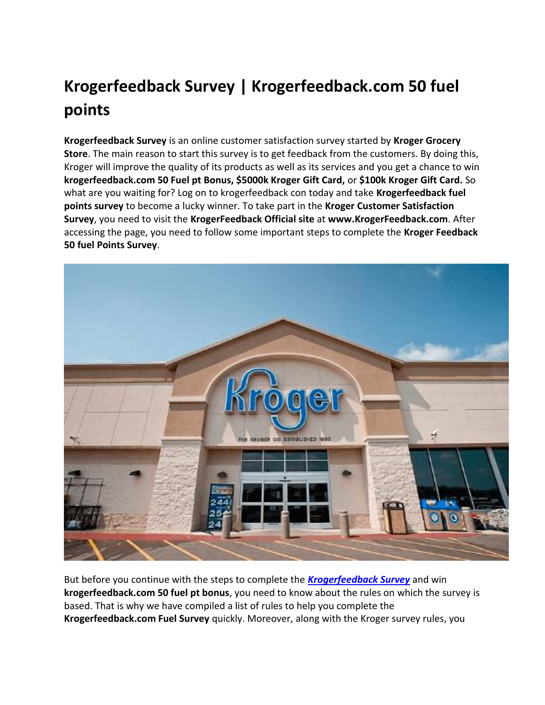# **Krogerfeedback Survey | Krogerfeedback.com 50 fuel points**

**Krogerfeedback Survey** is an online customer satisfaction survey started by **Kroger Grocery Store**. The main reason to start this survey is to get feedback from the customers. By doing this, Kroger will improve the quality of its products as well as its services and you get a chance to win **krogerfeedback.com 50 Fuel pt Bonus, \$5000k Kroger Gift Card,** or **\$100k Kroger Gift Card.** So what are you waiting for? Log on to krogerfeedback con today and take **Krogerfeedback fuel points survey** to become a lucky winner. To take part in the **Kroger Customer Satisfaction Survey**, you need to visit the **KrogerFeedback Official site** at **www.KrogerFeedback.com**. After accessing the page, you need to follow some important steps to complete the **Kroger Feedback 50 fuel Points Survey**.



But before you continue with the steps to complete the *[Krogerfeedback Survey](https://infotainmentlab.com/krogerfeedback-survey/)* and win **krogerfeedback.com 50 fuel pt bonus**, you need to know about the rules on which the survey is based. That is why we have compiled a list of rules to help you complete the **Krogerfeedback.com Fuel Survey** quickly. Moreover, along with the Kroger survey rules, you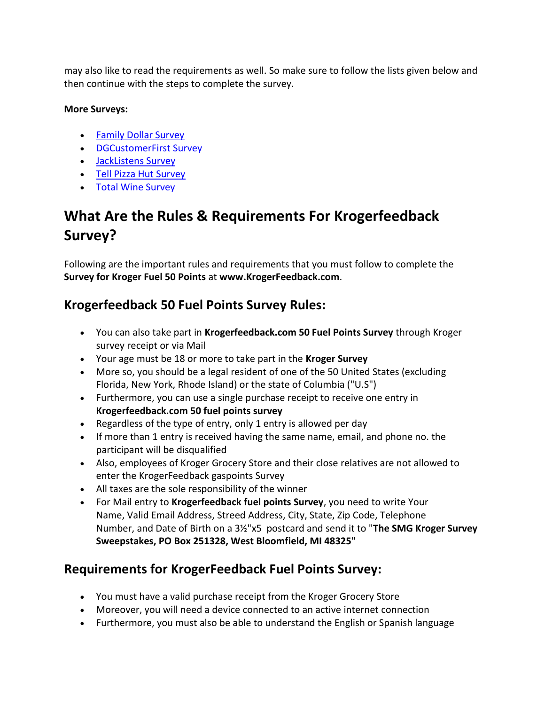may also like to read the requirements as well. So make sure to follow the lists given below and then continue with the steps to complete the survey.

#### **More Surveys:**

- [Family Dollar Survey](https://infotainmentlab.com/family-dollar-survey/)
- [DGCustomerFirst Survey](https://infotainmentlab.com/dgcustomerfirst-survey/)
- [JackListens Survey](https://infotainmentlab.com/jacklistens-survey/)
- [Tell Pizza Hut Survey](https://infotainmentlab.com/tell-pizza-hut-survey/)
- [Total Wine Survey](https://infotainmentlab.com/total-wine-survey/)

### **What Are the Rules & Requirements For Krogerfeedback Survey?**

Following are the important rules and requirements that you must follow to complete the **Survey for Kroger Fuel 50 Points** at **www.KrogerFeedback.com**.

#### **Krogerfeedback 50 Fuel Points Survey Rules:**

- You can also take part in **Krogerfeedback.com 50 Fuel Points Survey** through Kroger survey receipt or via Mail
- Your age must be 18 or more to take part in the **Kroger Survey**
- More so, you should be a legal resident of one of the 50 United States (excluding Florida, New York, Rhode Island) or the state of Columbia ("U.S")
- Furthermore, you can use a single purchase receipt to receive one entry in **Krogerfeedback.com 50 fuel points survey**
- Regardless of the type of entry, only 1 entry is allowed per day
- If more than 1 entry is received having the same name, email, and phone no. the participant will be disqualified
- Also, employees of Kroger Grocery Store and their close relatives are not allowed to enter the KrogerFeedback gaspoints Survey
- All taxes are the sole responsibility of the winner
- For Mail entry to **Krogerfeedback fuel points Survey**, you need to write Your Name, Valid Email Address, Streed Address, City, State, Zip Code, Telephone Number, and Date of Birth on a 3½"x5 postcard and send it to "**The SMG Kroger Survey Sweepstakes, PO Box 251328, West Bloomfield, MI 48325"**

#### **Requirements for KrogerFeedback Fuel Points Survey:**

- You must have a valid purchase receipt from the Kroger Grocery Store
- Moreover, you will need a device connected to an active internet connection
- Furthermore, you must also be able to understand the English or Spanish language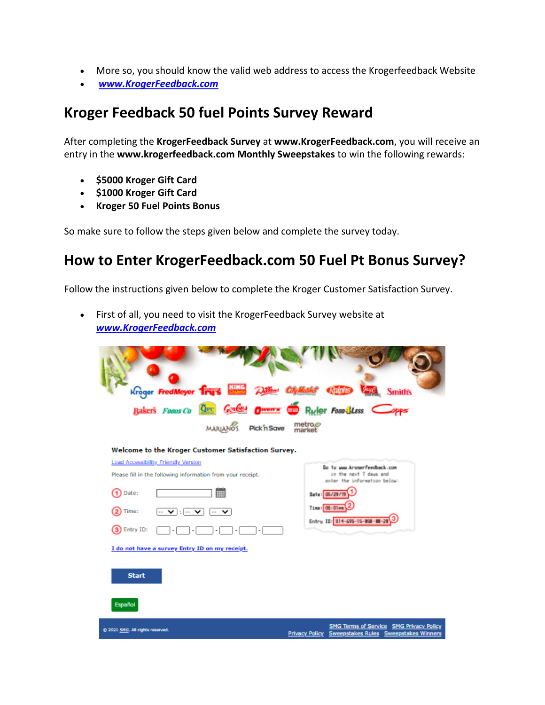- More so, you should know the valid web address to access the Krogerfeedback Website
- *[www.KrogerFeedback.com](https://www.krogerstoresfeedback.com/)*

### **Kroger Feedback 50 fuel Points Survey Reward**

After completing the **KrogerFeedback Survey** at **www.KrogerFeedback.com**, you will receive an entry in the **www.krogerfeedback.com Monthly Sweepstakes** to win the following rewards:

- **\$5000 Kroger Gift Card**
- **\$1000 Kroger Gift Card**
- **Kroger 50 Fuel Points Bonus**

So make sure to follow the steps given below and complete the survey today.

#### **How to Enter KrogerFeedback.com 50 Fuel Pt Bonus Survey?**

Follow the instructions given below to complete the Kroger Customer Satisfaction Survey.

 First of all, you need to visit the KrogerFeedback Survey website at *[www.KrogerFeedback.com](https://www.krogerstoresfeedback.com/)*

| Kroger FredMeyer. Trus with Differ CityMathst Chings Vand                                                                                                                                                                          | <b>Smith's</b>                                                                                                                                              |
|------------------------------------------------------------------------------------------------------------------------------------------------------------------------------------------------------------------------------------|-------------------------------------------------------------------------------------------------------------------------------------------------------------|
| Baker's Foons Co Over Goubes Owen's Co Ruler Food Less Copps<br>metro.e<br>market<br>MARIANO'S. Pick in Save                                                                                                                       |                                                                                                                                                             |
| Welcome to the Kroger Customer Satisfaction Survey.<br>Load Accessibility Friendly Version<br>Please fill in the following information from your receipt.<br>Date:<br>$ \sqrt{ \cdot }$ $ \sqrt{ \cdot }$<br>Time:<br>3) Entry ID: | Go to www.kronerfeedback.com<br>in the next 7 days and<br>enter the information below:<br>Date: 05/29/19<br>Time: 05:01pm<br>Entry ID: 014-695-15-858-88-28 |
| I do not have a survey Entry ID on my receipt.<br><b>Start</b><br><b>Español</b>                                                                                                                                                   | <b>SMG Terms of Service SMG Privacy Policy</b>                                                                                                              |
| @ 2021 SMG. All rights reserved.                                                                                                                                                                                                   | Privacy Policy Sweepstakes Rules Sweepstakes Winners                                                                                                        |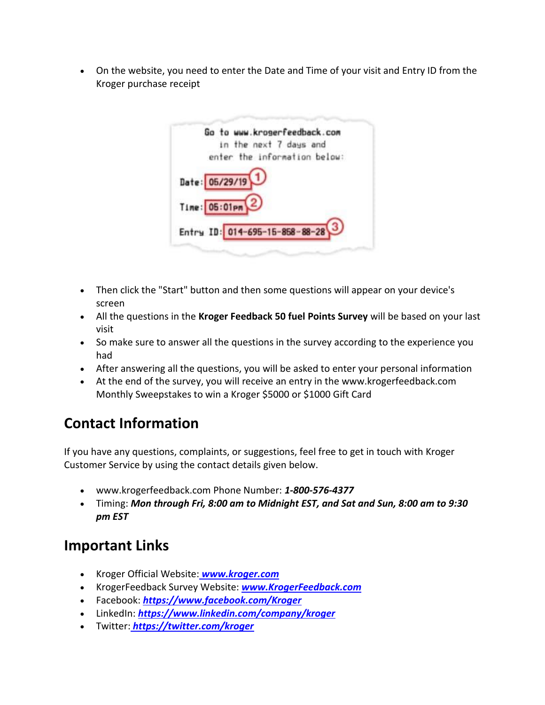On the website, you need to enter the Date and Time of your visit and Entry ID from the Kroger purchase receipt



- Then click the "Start" button and then some questions will appear on your device's screen
- All the questions in the **Kroger Feedback 50 fuel Points Survey** will be based on your last visit
- So make sure to answer all the questions in the survey according to the experience you had
- After answering all the questions, you will be asked to enter your personal information
- At the end of the survey, you will receive an entry in the www.krogerfeedback.com Monthly Sweepstakes to win a Kroger \$5000 or \$1000 Gift Card

## **Contact Information**

If you have any questions, complaints, or suggestions, feel free to get in touch with Kroger Customer Service by using the contact details given below.

- www.krogerfeedback.com Phone Number: *1-800-576-4377*
- Timing: *Mon through Fri, 8:00 am to Midnight EST, and Sat and Sun, 8:00 am to 9:30 pm EST*

### **Important Links**

- Kroger Official Website: *[www.kroger.com](https://www.kroger.com/)*
- KrogerFeedback Survey Website: *[www.KrogerFeedback.com](https://www.krogerstoresfeedback.com/)*
- Facebook: *<https://www.facebook.com/Kroger>*
- LinkedIn: *<https://www.linkedin.com/company/kroger>*
- Twitter: *<https://twitter.com/kroger>*